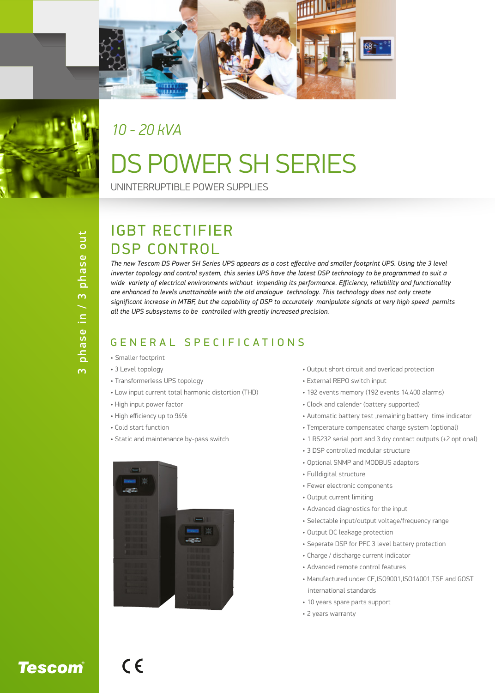



#### *10 - 20 kVA*

## DS POWER SH SERIES

UNINTERRUPTIBLE POWER SUPPLIES

# phase in / 3 phase out 3 phase in / 3 phase out  $\overline{m}$

#### IGBT RECTIFIER DSP CONTROL

The new Tescom DS Power SH Series UPS appears as a cost effective and smaller footprint UPS. Using the 3 level *inverter topology and control system, this series UPS have the latest DSP technology to be programmed to suit a wide variety of electrical environments without impending its performance. Efficiency, reliability and functionality are enhanced to levels unattainable with the old analogue technology. This technology does not only create significant increase in MTBF, but the capability of DSP to accurately manipulate signals at very high speed permits all the UPS subsystems to be controlled with greatly increased precision.*

#### GENERAL SPECIFICATIONS

- Smaller footprint
- 3 Level topology
- Transformerless UPS topology
- Low input current total harmonic distortion (THD)
- High input power factor
- High efficiency up to 94%
- Cold start function
- Static and maintenance by-pass switch



- Output short circuit and overload protection
- External REPO switch input
- 192 events memory (192 events 14.400 alarms)
- Clock and calender (battery supported)
- Automatic battery test ,remaining battery time indicator
- Temperature compensated charge system (optional)
- 1 RS232 serial port and 3 dry contact outputs (+2 optional)
- 3 DSP controlled modular structure
- Optional SNMP and MODBUS adaptors
- Fulldigital structure
- Fewer electronic components
- Output current limiting
- Advanced diagnostics for the input
- Selectable input/output voltage/frequency range
- Output DC leakage protection
- Seperate DSP for PFC 3 level battery protection
- Charge / discharge current indicator
- Advanced remote control features
- Manufactured under CE,ISO9001,ISO14001,TSE and GOST international standards
- 10 years spare parts support
- 2 years warranty

 $C \in$